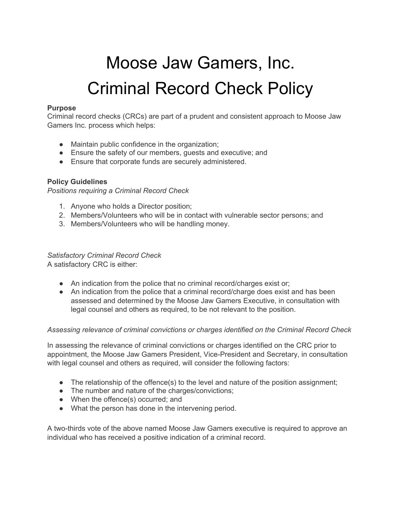# Moose Jaw Gamers, Inc. Criminal Record Check Policy

### **Purpose**

Criminal record checks (CRCs) are part of a prudent and consistent approach to Moose Jaw Gamers Inc. process which helps:

- Maintain public confidence in the organization;
- Ensure the safety of our members, guests and executive; and
- Ensure that corporate funds are securely administered.

## **Policy Guidelines**

*Positions requiring a Criminal Record Check*

- 1. Anyone who holds a Director position;
- 2. Members/Volunteers who will be in contact with vulnerable sector persons; and
- 3. Members/Volunteers who will be handling money.

# *Satisfactory Criminal Record Check*

A satisfactory CRC is either:

- An indication from the police that no criminal record/charges exist or;
- An indication from the police that a criminal record/charge does exist and has been assessed and determined by the Moose Jaw Gamers Executive, in consultation with legal counsel and others as required, to be not relevant to the position.

### *Assessing relevance of criminal convictions or charges identified on the Criminal Record Check*

In assessing the relevance of criminal convictions or charges identified on the CRC prior to appointment, the Moose Jaw Gamers President, Vice-President and Secretary, in consultation with legal counsel and others as required, will consider the following factors:

- The relationship of the offence(s) to the level and nature of the position assignment;
- The number and nature of the charges/convictions;
- When the offence(s) occurred; and
- What the person has done in the intervening period.

A two-thirds vote of the above named Moose Jaw Gamers executive is required to approve an individual who has received a positive indication of a criminal record.